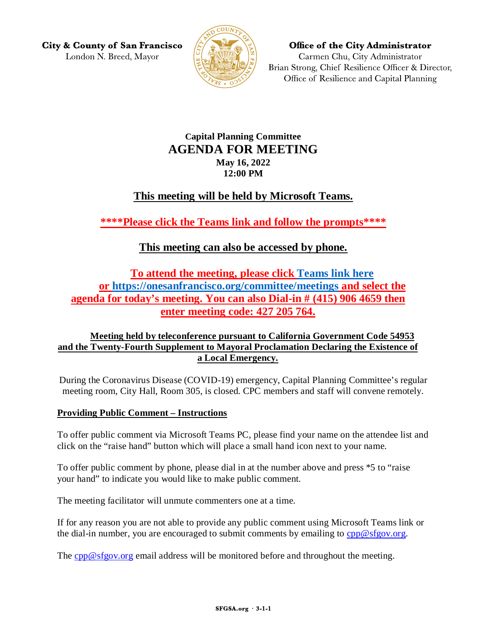**City & County of San Francisco** London N. Breed, Mayor



**Office of the City Administrator** Carmen Chu, City Administrator Brian Strong, Chief Resilience Officer & Director, Office of Resilience and Capital Planning

## **Capital Planning Committee AGENDA FOR MEETING May 16, 2022 12:00 PM**

# **This meeting will be held by Microsoft Teams.**

**\*\*\*\*Please click the Teams link and follow the prompts\*\*\*\***

## **This meeting can also be accessed by phone.**

**To attend the meeting, please click [Teams link here](https://teams.microsoft.com/l/meetup-join/19%3ameeting_NjM5Mzc2YzAtMDdjYS00NjgyLTg3NDItOTdlMzQ0MzlhYzJm%40thread.v2/0?context=%7b%22Tid%22%3a%2222d5c2cf-ce3e-443d-9a7f-dfcc0231f73f%22%2c%22Oid%22%3a%22e6a17f24-0352-47b3-943d-645fcaffc687%22%7d) or<https://onesanfrancisco.org/committee/meetings> and select the agenda for today's meeting. You can also Dial-in # (415) 906 4659 then enter meeting code: 427 205 764.**

### **Meeting held by teleconference pursuant to California Government Code 54953 and the Twenty-Fourth Supplement to Mayoral Proclamation Declaring the Existence of a Local Emergency.**

During the Coronavirus Disease (COVID-19) emergency, Capital Planning Committee's regular meeting room, City Hall, Room 305, is closed. CPC members and staff will convene remotely.

### **Providing Public Comment – Instructions**

To offer public comment via Microsoft Teams PC, please find your name on the attendee list and click on the "raise hand" button which will place a small hand icon next to your name.

To offer public comment by phone, please dial in at the number above and press \*5 to "raise your hand" to indicate you would like to make public comment.

The meeting facilitator will unmute commenters one at a time.

If for any reason you are not able to provide any public comment using Microsoft Teams link or the dial-in number, you are encouraged to submit comments by emailing to  $cpp@sfgov.org$ .

The [cpp@sfgov.org](mailto:cpp@sfgov.org) email address will be monitored before and throughout the meeting.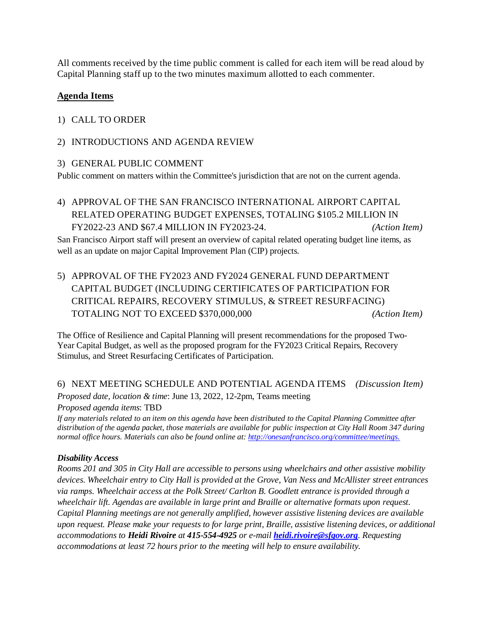All comments received by the time public comment is called for each item will be read aloud by Capital Planning staff up to the two minutes maximum allotted to each commenter.

### **Agenda Items**

#### 1) CALL TO ORDER

#### 2) INTRODUCTIONS AND AGENDA REVIEW

#### 3) GENERAL PUBLIC COMMENT

Public comment on matters within the Committee's jurisdiction that are not on the current agenda.

4) APPROVAL OF THE SAN FRANCISCO INTERNATIONAL AIRPORT CAPITAL RELATED OPERATING BUDGET EXPENSES, TOTALING \$105.2 MILLION IN FY2022-23 AND \$67.4 MILLION IN FY2023-24. *(Action Item)*

San Francisco Airport staff will present an overview of capital related operating budget line items, as well as an update on major Capital Improvement Plan (CIP) projects.

5) APPROVAL OF THE FY2023 AND FY2024 GENERAL FUND DEPARTMENT CAPITAL BUDGET (INCLUDING CERTIFICATES OF PARTICIPATION FOR CRITICAL REPAIRS, RECOVERY STIMULUS, & STREET RESURFACING) TOTALING NOT TO EXCEED \$370,000,000 *(Action Item)*

The Office of Resilience and Capital Planning will present recommendations for the proposed Two-Year Capital Budget, as well as the proposed program for the FY2023 Critical Repairs, Recovery Stimulus, and Street Resurfacing Certificates of Participation.

#### 6) NEXT MEETING SCHEDULE AND POTENTIAL AGENDA ITEMS *(Discussion Item)*

*Proposed date, location & time*: June 13, 2022, 12-2pm, Teams meeting *Proposed agenda items*: TBD

*If any materials related to an item on this agenda have been distributed to the Capital Planning Committee after distribution of the agenda packet, those materials are available for public inspection at City Hall Room 347 during normal office hours. Materials can also be found online at[: http://onesanfrancisco.org/committee/meetings.](http://onesanfrancisco.org/committee/meetings)* 

#### *Disability Access*

*Rooms 201 and 305 in City Hall are accessible to persons using wheelchairs and other assistive mobility devices. Wheelchair entry to City Hall is provided at the Grove, Van Ness and McAllister street entrances via ramps. Wheelchair access at the Polk Street/ Carlton B. Goodlett entrance is provided through a wheelchair lift. Agendas are available in large print and Braille or alternative formats upon request. Capital Planning meetings are not generally amplified, however assistive listening devices are available upon request. Please make your requests to for large print, Braille, assistive listening devices, or additional accommodations to Heidi Rivoire at 415-554-4925 or e-mail [heidi.rivoire@sfgov.org](mailto:heidi.rivoire@sfgov.org). Requesting accommodations at least 72 hours prior to the meeting will help to ensure availability.*